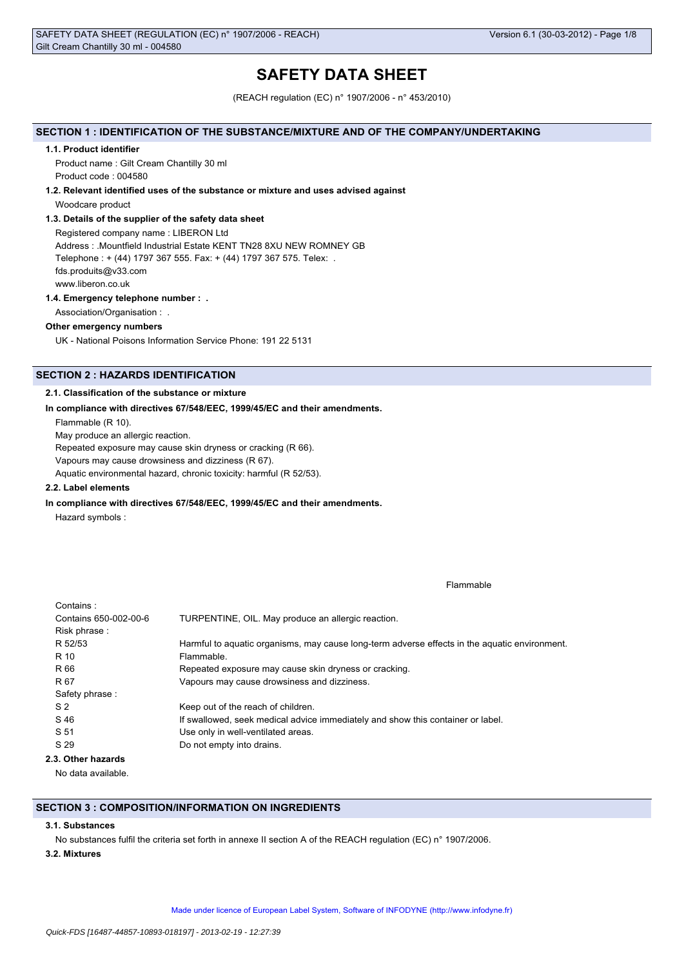# **SAFETY DATA SHEET**

(REACH regulation (EC) n° 1907/2006 - n° 453/2010)

# **SECTION 1 : IDENTIFICATION OF THE SUBSTANCE/MIXTURE AND OF THE COMPANY/UNDERTAKING**

#### **1.1. Product identifier**

Product name : Gilt Cream Chantilly 30 ml Product code : 004580

#### **1.2. Relevant identified uses of the substance or mixture and uses advised against**

Woodcare product

# **1.3. Details of the supplier of the safety data sheet**

Registered company name : LIBERON Ltd Address : .Mountfield Industrial Estate KENT TN28 8XU NEW ROMNEY GB Telephone : + (44) 1797 367 555. Fax: + (44) 1797 367 575. Telex: . fds.produits@v33.com www.liberon.co.uk

# **1.4. Emergency telephone number : .**

Association/Organisation : .

# **Other emergency numbers**

UK - National Poisons Information Service Phone: 191 22 5131

# **SECTION 2 : HAZARDS IDENTIFICATION**

# **2.1. Classification of the substance or mixture**

# **In compliance with directives 67/548/EEC, 1999/45/EC and their amendments.**

Flammable (R 10).

May produce an allergic reaction.

Repeated exposure may cause skin dryness or cracking (R 66).

Vapours may cause drowsiness and dizziness (R 67).

Aquatic environmental hazard, chronic toxicity: harmful (R 52/53).

# **2.2. Label elements**

**In compliance with directives 67/548/EEC, 1999/45/EC and their amendments.**

Hazard symbols :

Flammable

| Contains:             |                                                                                               |
|-----------------------|-----------------------------------------------------------------------------------------------|
| Contains 650-002-00-6 | TURPENTINE, OIL. May produce an allergic reaction.                                            |
| Risk phrase:          |                                                                                               |
| R 52/53               | Harmful to aquatic organisms, may cause long-term adverse effects in the aquatic environment. |
| R 10                  | Flammable.                                                                                    |
| R 66                  | Repeated exposure may cause skin dryness or cracking.                                         |
| R 67                  | Vapours may cause drowsiness and dizziness.                                                   |
| Safety phrase:        |                                                                                               |
| S <sub>2</sub>        | Keep out of the reach of children.                                                            |
| S 46                  | If swallowed, seek medical advice immediately and show this container or label.               |
| S 51                  | Use only in well-ventilated areas.                                                            |
| S 29                  | Do not empty into drains.                                                                     |
| 2.3. Other hazards    |                                                                                               |
|                       |                                                                                               |

No data available.

# **SECTION 3 : COMPOSITION/INFORMATION ON INGREDIENTS**

# **3.1. Substances**

No substances fulfil the criteria set forth in annexe II section A of the REACH regulation (EC) n° 1907/2006.

# **3.2. Mixtures**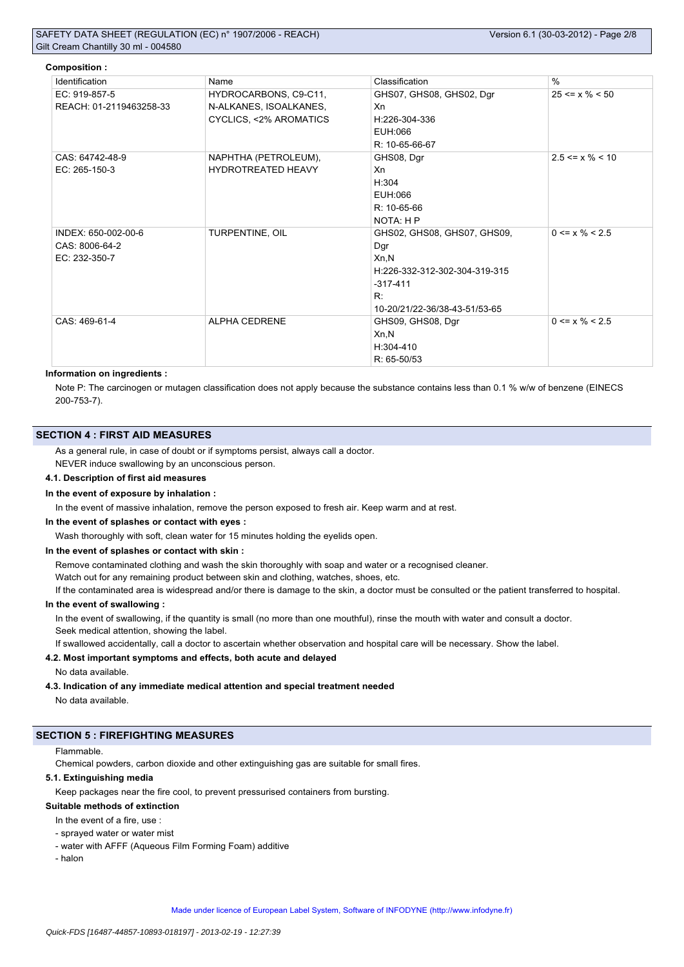#### **Composition :**

| Identification          | Name                   | Classification                | $\frac{0}{0}$         |
|-------------------------|------------------------|-------------------------------|-----------------------|
| EC: 919-857-5           | HYDROCARBONS, C9-C11,  | GHS07, GHS08, GHS02, Dgr      | $25 \le x \% \le 50$  |
| REACH: 01-2119463258-33 | N-ALKANES, ISOALKANES, | Xn                            |                       |
|                         | CYCLICS, <2% AROMATICS | H:226-304-336                 |                       |
|                         |                        | EUH:066                       |                       |
|                         |                        | R: 10-65-66-67                |                       |
| CAS: 64742-48-9         | NAPHTHA (PETROLEUM),   | GHS08, Dgr                    | $2.5 \le x \% \le 10$ |
| EC: 265-150-3           | HYDROTREATED HEAVY     | Xn                            |                       |
|                         |                        | H:304                         |                       |
|                         |                        | EUH:066                       |                       |
|                         |                        | R: 10-65-66                   |                       |
|                         |                        | NOTA: H P                     |                       |
| INDEX: 650-002-00-6     | TURPENTINE, OIL        | GHS02, GHS08, GHS07, GHS09,   | $0 \le x \% \le 2.5$  |
| CAS: 8006-64-2          |                        | Dgr                           |                       |
| EC: 232-350-7           |                        | Xn.N                          |                       |
|                         |                        | H:226-332-312-302-304-319-315 |                       |
|                         |                        | $-317-411$                    |                       |
|                         |                        | R:                            |                       |
|                         |                        | 10-20/21/22-36/38-43-51/53-65 |                       |
| CAS: 469-61-4           | <b>ALPHA CEDRENE</b>   | GHS09, GHS08, Dgr             | $0 \le x \% \le 2.5$  |
|                         |                        | Xn, N                         |                       |
|                         |                        | H:304-410                     |                       |
|                         |                        | R: 65-50/53                   |                       |

# **Information on ingredients :**

Note P: The carcinogen or mutagen classification does not apply because the substance contains less than 0.1 % w/w of benzene (EINECS 200-753-7).

# **SECTION 4 : FIRST AID MEASURES**

As a general rule, in case of doubt or if symptoms persist, always call a doctor. NEVER induce swallowing by an unconscious person.

## **4.1. Description of first aid measures**

#### **In the event of exposure by inhalation :**

In the event of massive inhalation, remove the person exposed to fresh air. Keep warm and at rest.

## **In the event of splashes or contact with eyes :**

Wash thoroughly with soft, clean water for 15 minutes holding the eyelids open.

# **In the event of splashes or contact with skin :**

Remove contaminated clothing and wash the skin thoroughly with soap and water or a recognised cleaner.

Watch out for any remaining product between skin and clothing, watches, shoes, etc.

If the contaminated area is widespread and/or there is damage to the skin, a doctor must be consulted or the patient transferred to hospital. **In the event of swallowing :**

In the event of swallowing, if the quantity is small (no more than one mouthful), rinse the mouth with water and consult a doctor. Seek medical attention, showing the label.

If swallowed accidentally, call a doctor to ascertain whether observation and hospital care will be necessary. Show the label.

# **4.2. Most important symptoms and effects, both acute and delayed**

No data available.

**4.3. Indication of any immediate medical attention and special treatment needed** No data available.

# **SECTION 5 : FIREFIGHTING MEASURES**

## Flammable.

Chemical powders, carbon dioxide and other extinguishing gas are suitable for small fires.

# **5.1. Extinguishing media**

Keep packages near the fire cool, to prevent pressurised containers from bursting.

# **Suitable methods of extinction**

- In the event of a fire, use :
- sprayed water or water mist
- water with AFFF (Aqueous Film Forming Foam) additive
- halon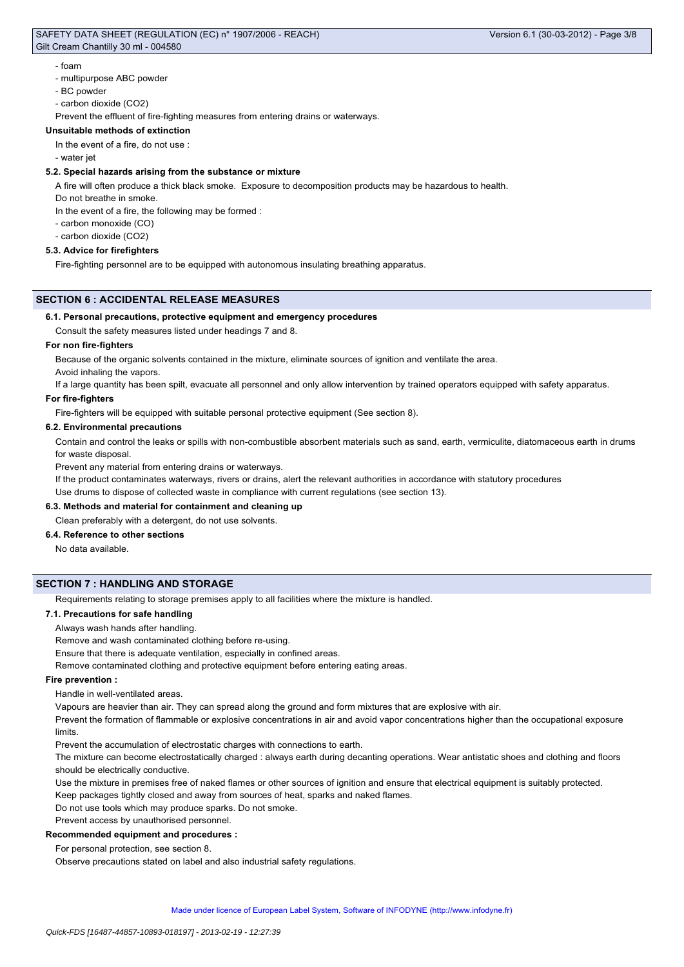## - foam

- multipurpose ABC powder

- BC powder

- carbon dioxide (CO2)

Prevent the effluent of fire-fighting measures from entering drains or waterways.

# **Unsuitable methods of extinction**

In the event of a fire, do not use :

- water jet

# **5.2. Special hazards arising from the substance or mixture**

A fire will often produce a thick black smoke. Exposure to decomposition products may be hazardous to health.

Do not breathe in smoke.

In the event of a fire, the following may be formed :

- carbon monoxide (CO)

- carbon dioxide (CO2)

## **5.3. Advice for firefighters**

Fire-fighting personnel are to be equipped with autonomous insulating breathing apparatus.

# **SECTION 6 : ACCIDENTAL RELEASE MEASURES**

## **6.1. Personal precautions, protective equipment and emergency procedures**

Consult the safety measures listed under headings 7 and 8.

# **For non fire-fighters**

Because of the organic solvents contained in the mixture, eliminate sources of ignition and ventilate the area.

Avoid inhaling the vapors.

If a large quantity has been spilt, evacuate all personnel and only allow intervention by trained operators equipped with safety apparatus.

#### **For fire-fighters**

Fire-fighters will be equipped with suitable personal protective equipment (See section 8).

## **6.2. Environmental precautions**

Contain and control the leaks or spills with non-combustible absorbent materials such as sand, earth, vermiculite, diatomaceous earth in drums for waste disposal.

Prevent any material from entering drains or waterways.

If the product contaminates waterways, rivers or drains, alert the relevant authorities in accordance with statutory procedures

Use drums to dispose of collected waste in compliance with current regulations (see section 13).

# **6.3. Methods and material for containment and cleaning up**

# Clean preferably with a detergent, do not use solvents.

**6.4. Reference to other sections**

No data available.

# **SECTION 7 : HANDLING AND STORAGE**

Requirements relating to storage premises apply to all facilities where the mixture is handled.

## **7.1. Precautions for safe handling**

Always wash hands after handling.

Remove and wash contaminated clothing before re-using.

Ensure that there is adequate ventilation, especially in confined areas.

Remove contaminated clothing and protective equipment before entering eating areas.

## **Fire prevention :**

Handle in well-ventilated areas.

Vapours are heavier than air. They can spread along the ground and form mixtures that are explosive with air.

Prevent the formation of flammable or explosive concentrations in air and avoid vapor concentrations higher than the occupational exposure limits.

Prevent the accumulation of electrostatic charges with connections to earth.

The mixture can become electrostatically charged : always earth during decanting operations. Wear antistatic shoes and clothing and floors should be electrically conductive.

Use the mixture in premises free of naked flames or other sources of ignition and ensure that electrical equipment is suitably protected.

Keep packages tightly closed and away from sources of heat, sparks and naked flames.

Do not use tools which may produce sparks. Do not smoke.

Prevent access by unauthorised personnel.

#### **Recommended equipment and procedures :**

For personal protection, see section 8.

Observe precautions stated on label and also industrial safety regulations.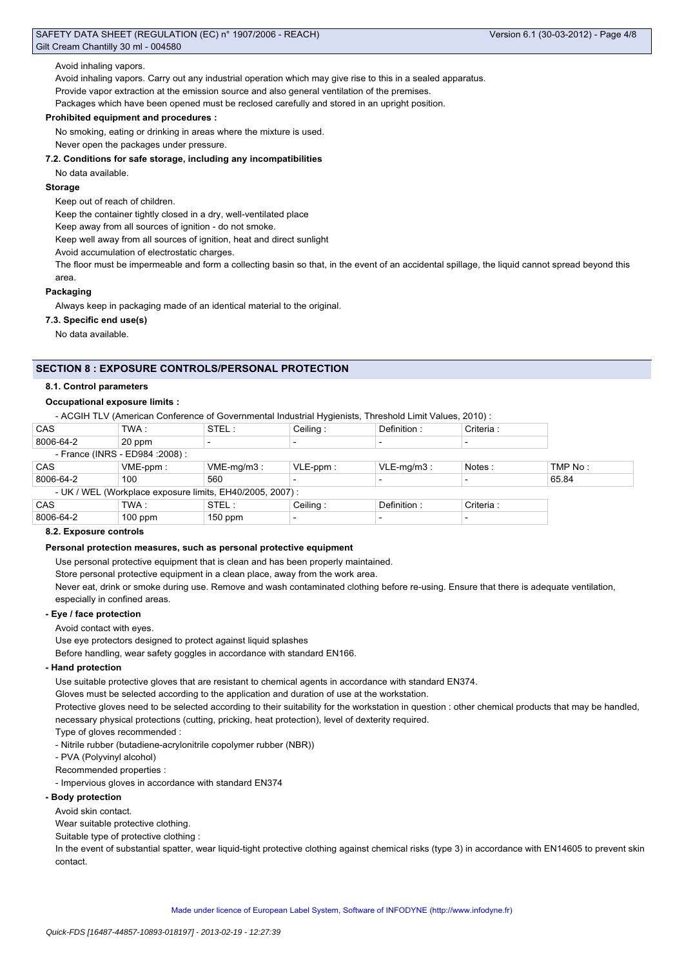#### Avoid inhaling vapors.

Avoid inhaling vapors. Carry out any industrial operation which may give rise to this in a sealed apparatus.

Provide vapor extraction at the emission source and also general ventilation of the premises.

Packages which have been opened must be reclosed carefully and stored in an upright position.

## **Prohibited equipment and procedures :**

No smoking, eating or drinking in areas where the mixture is used.

Never open the packages under pressure.

## **7.2. Conditions for safe storage, including any incompatibilities**

No data available.

## **Storage**

Keep out of reach of children.

Keep the container tightly closed in a dry, well-ventilated place

Keep away from all sources of ignition - do not smoke.

Keep well away from all sources of ignition, heat and direct sunlight

Avoid accumulation of electrostatic charges.

The floor must be impermeable and form a collecting basin so that, in the event of an accidental spillage, the liquid cannot spread beyond this area.

#### **Packaging**

Always keep in packaging made of an identical material to the original.

**7.3. Specific end use(s)**

No data available.

# **SECTION 8 : EXPOSURE CONTROLS/PERSONAL PROTECTION**

## **8.1. Control parameters**

# **Occupational exposure limits :**

- ACGIH TLV (American Conference of Governmental Industrial Hygienists, Threshold Limit Values, 2010) :

| <b>CAS</b>                                                | TWA:                             | STEL:         | Ceiling:                 | Definition:   | Criteria : |         |
|-----------------------------------------------------------|----------------------------------|---------------|--------------------------|---------------|------------|---------|
| 8006-64-2                                                 | 20 ppm                           |               |                          |               |            |         |
|                                                           | - France (INRS - ED984 : 2008) : |               |                          |               |            |         |
| <b>CAS</b>                                                | $VME-ppm$ :                      | $VME-mq/m3$ : | $VLE-ppm$ :              | $VLE-mq/m3$ : | Notes:     | TMP No: |
| 8006-64-2                                                 | 100                              | 560           |                          |               |            | 65.84   |
| - UK / WEL (Workplace exposure limits, EH40/2005, 2007) : |                                  |               |                          |               |            |         |
| CAS                                                       | TWA :                            | STEL:         | Ceiling:                 | Definition:   | Criteria : |         |
| 8006-64-2                                                 | $100$ ppm                        | $150$ ppm     | $\overline{\phantom{a}}$ |               |            |         |

## **8.2. Exposure controls**

## **Personal protection measures, such as personal protective equipment**

Use personal protective equipment that is clean and has been properly maintained.

Store personal protective equipment in a clean place, away from the work area.

Never eat, drink or smoke during use. Remove and wash contaminated clothing before re-using. Ensure that there is adequate ventilation, especially in confined areas.

# **- Eye / face protection**

Avoid contact with eyes.

Use eye protectors designed to protect against liquid splashes

Before handling, wear safety goggles in accordance with standard EN166.

#### **- Hand protection**

Use suitable protective gloves that are resistant to chemical agents in accordance with standard EN374.

Gloves must be selected according to the application and duration of use at the workstation.

Protective gloves need to be selected according to their suitability for the workstation in question : other chemical products that may be handled, necessary physical protections (cutting, pricking, heat protection), level of dexterity required.

Type of gloves recommended :

- Nitrile rubber (butadiene-acrylonitrile copolymer rubber (NBR))

- PVA (Polyvinyl alcohol)

Recommended properties :

- Impervious gloves in accordance with standard EN374

# **- Body protection**

Avoid skin contact.

Wear suitable protective clothing.

Suitable type of protective clothing :

In the event of substantial spatter, wear liquid-tight protective clothing against chemical risks (type 3) in accordance with EN14605 to prevent skin contact.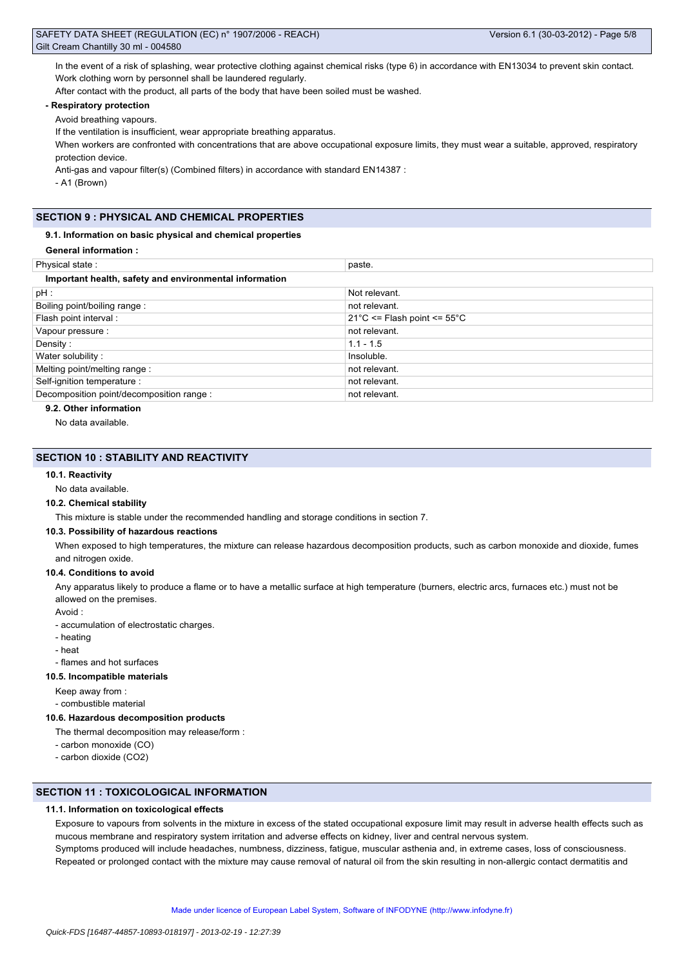In the event of a risk of splashing, wear protective clothing against chemical risks (type 6) in accordance with EN13034 to prevent skin contact. Work clothing worn by personnel shall be laundered regularly.

After contact with the product, all parts of the body that have been soiled must be washed.

# **- Respiratory protection**

Avoid breathing vapours.

If the ventilation is insufficient, wear appropriate breathing apparatus.

When workers are confronted with concentrations that are above occupational exposure limits, they must wear a suitable, approved, respiratory protection device.

Anti-gas and vapour filter(s) (Combined filters) in accordance with standard EN14387 :

- A1 (Brown)

# **SECTION 9 : PHYSICAL AND CHEMICAL PROPERTIES**

# **9.1. Information on basic physical and chemical properties**

| Physical state:                                        | paste.                                          |  |  |  |
|--------------------------------------------------------|-------------------------------------------------|--|--|--|
| Important health, safety and environmental information |                                                 |  |  |  |
| pH:                                                    | Not relevant.                                   |  |  |  |
| Boiling point/boiling range:                           | not relevant.                                   |  |  |  |
| Flash point interval:                                  | $21^{\circ}$ C <= Flash point <= $55^{\circ}$ C |  |  |  |
| Vapour pressure :                                      | not relevant.                                   |  |  |  |
| Density:                                               | $1.1 - 1.5$                                     |  |  |  |
| Water solubility:                                      | Insoluble.                                      |  |  |  |
| Melting point/melting range:                           | not relevant.                                   |  |  |  |
| Self-ignition temperature :                            | not relevant.                                   |  |  |  |
| Decomposition point/decomposition range :              | not relevant.                                   |  |  |  |

# **9.2. Other information**

No data available.

# **SECTION 10 : STABILITY AND REACTIVITY**

# **10.1. Reactivity**

No data available.

## **10.2. Chemical stability**

This mixture is stable under the recommended handling and storage conditions in section 7.

# **10.3. Possibility of hazardous reactions**

When exposed to high temperatures, the mixture can release hazardous decomposition products, such as carbon monoxide and dioxide, fumes and nitrogen oxide.

# **10.4. Conditions to avoid**

Any apparatus likely to produce a flame or to have a metallic surface at high temperature (burners, electric arcs, furnaces etc.) must not be allowed on the premises.

# Avoid :

- accumulation of electrostatic charges.

- heating
- heat
- flames and hot surfaces

## **10.5. Incompatible materials**

Keep away from :

- combustible material

## **10.6. Hazardous decomposition products**

The thermal decomposition may release/form :

- carbon monoxide (CO)
- carbon dioxide (CO2)

# **SECTION 11 : TOXICOLOGICAL INFORMATION**

# **11.1. Information on toxicological effects**

Exposure to vapours from solvents in the mixture in excess of the stated occupational exposure limit may result in adverse health effects such as mucous membrane and respiratory system irritation and adverse effects on kidney, liver and central nervous system. Symptoms produced will include headaches, numbness, dizziness, fatigue, muscular asthenia and, in extreme cases, loss of consciousness. Repeated or prolonged contact with the mixture may cause removal of natural oil from the skin resulting in non-allergic contact dermatitis and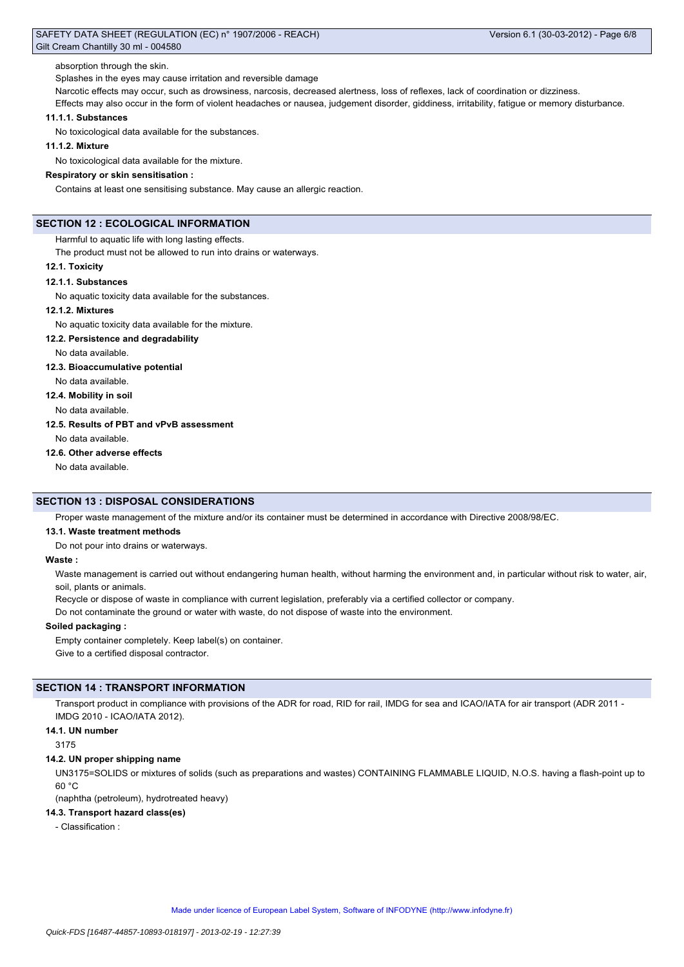## absorption through the skin.

Splashes in the eyes may cause irritation and reversible damage

Narcotic effects may occur, such as drowsiness, narcosis, decreased alertness, loss of reflexes, lack of coordination or dizziness.

Effects may also occur in the form of violent headaches or nausea, judgement disorder, giddiness, irritability, fatigue or memory disturbance.

# **11.1.1. Substances**

No toxicological data available for the substances.

## **11.1.2. Mixture**

No toxicological data available for the mixture.

# **Respiratory or skin sensitisation :**

Contains at least one sensitising substance. May cause an allergic reaction.

# **SECTION 12 : ECOLOGICAL INFORMATION**

Harmful to aquatic life with long lasting effects.

The product must not be allowed to run into drains or waterways.

#### **12.1. Toxicity**

#### **12.1.1. Substances**

No aquatic toxicity data available for the substances.

# **12.1.2. Mixtures**

No aquatic toxicity data available for the mixture.

**12.2. Persistence and degradability**

No data available.

#### **12.3. Bioaccumulative potential**

No data available.

**12.4. Mobility in soil**

No data available.

## **12.5. Results of PBT and vPvB assessment**

No data available.

## **12.6. Other adverse effects**

No data available.

## **SECTION 13 : DISPOSAL CONSIDERATIONS**

Proper waste management of the mixture and/or its container must be determined in accordance with Directive 2008/98/EC.

#### **13.1. Waste treatment methods**

Do not pour into drains or waterways.

#### **Waste :**

Waste management is carried out without endangering human health, without harming the environment and, in particular without risk to water, air, soil, plants or animals.

Recycle or dispose of waste in compliance with current legislation, preferably via a certified collector or company.

Do not contaminate the ground or water with waste, do not dispose of waste into the environment.

# **Soiled packaging :**

Empty container completely. Keep label(s) on container.

Give to a certified disposal contractor.

# **SECTION 14 : TRANSPORT INFORMATION**

Transport product in compliance with provisions of the ADR for road, RID for rail, IMDG for sea and ICAO/IATA for air transport (ADR 2011 -IMDG 2010 - ICAO/IATA 2012).

## **14.1. UN number**

3175

# **14.2. UN proper shipping name**

UN3175=SOLIDS or mixtures of solids (such as preparations and wastes) CONTAINING FLAMMABLE LIQUID, N.O.S. having a flash-point up to 60 °C

(naphtha (petroleum), hydrotreated heavy)

# **14.3. Transport hazard class(es)**

- Classification :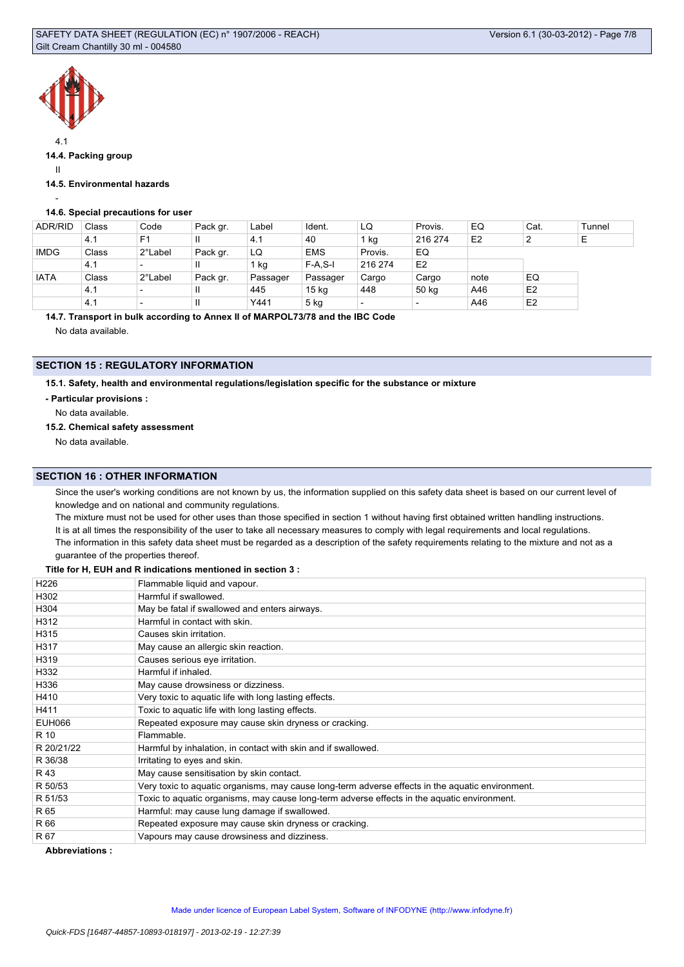

4.1

## **14.4. Packing group**

II

# **14.5. Environmental hazards**

-

# **14.6. Special precautions for user**

| <b>ADR/RID</b> | Class | Code                     | Pack gr. | Label    | Ident.           | LQ      | Provis.                  | EQ             | Cat.           | Tunnel |
|----------------|-------|--------------------------|----------|----------|------------------|---------|--------------------------|----------------|----------------|--------|
|                | 4.1   | F <sub>1</sub>           | Ш        | 4.1      | 40               | kg      | 216 274                  | E <sub>2</sub> |                | Е      |
| <b>IMDG</b>    | Class | 2°Label                  | Pack gr. | LQ       | <b>EMS</b>       | Provis. | EQ                       |                |                |        |
|                | 4.1   | $\overline{\phantom{0}}$ | Ш        | $1$ kg   | $F-A.S-I$        | 216 274 | E <sub>2</sub>           |                |                |        |
| <b>IATA</b>    | Class | 2°Label                  | Pack gr. | Passager | Passager         | Cargo   | Cargo                    | note           | EQ             |        |
|                | 4.1   | $\overline{\phantom{0}}$ | Ш        | 445      | 15 <sub>kg</sub> | 448     | 50 kg                    | A46            | E <sub>2</sub> |        |
|                | 4.1   | $\,$                     | Ш        | Y441     | 5 kg             |         | $\overline{\phantom{0}}$ | A46            | E <sub>2</sub> |        |

**14.7. Transport in bulk according to Annex II of MARPOL73/78 and the IBC Code**

No data available.

# **SECTION 15 : REGULATORY INFORMATION**

**15.1. Safety, health and environmental regulations/legislation specific for the substance or mixture**

**- Particular provisions :**

No data available.

#### **15.2. Chemical safety assessment**

No data available.

# **SECTION 16 : OTHER INFORMATION**

Since the user's working conditions are not known by us, the information supplied on this safety data sheet is based on our current level of knowledge and on national and community regulations.

The mixture must not be used for other uses than those specified in section 1 without having first obtained written handling instructions. It is at all times the responsibility of the user to take all necessary measures to comply with legal requirements and local regulations. The information in this safety data sheet must be regarded as a description of the safety requirements relating to the mixture and not as a guarantee of the properties thereof.

## **Title for H, EUH and R indications mentioned in section 3 :**

| H <sub>226</sub> | Flammable liquid and vapour.                                                                     |
|------------------|--------------------------------------------------------------------------------------------------|
| H302             | Harmful if swallowed.                                                                            |
| H304             | May be fatal if swallowed and enters airways.                                                    |
| H312             | Harmful in contact with skin.                                                                    |
| H315             | Causes skin irritation.                                                                          |
| H317             | May cause an allergic skin reaction.                                                             |
| H319             | Causes serious eye irritation.                                                                   |
| H332             | Harmful if inhaled.                                                                              |
| H336             | May cause drowsiness or dizziness.                                                               |
| H410             | Very toxic to aquatic life with long lasting effects.                                            |
| H411             | Toxic to aquatic life with long lasting effects.                                                 |
| <b>EUH066</b>    | Repeated exposure may cause skin dryness or cracking.                                            |
| R 10             | Flammable.                                                                                       |
| R 20/21/22       | Harmful by inhalation, in contact with skin and if swallowed.                                    |
| R 36/38          | Irritating to eyes and skin.                                                                     |
| R 43             | May cause sensitisation by skin contact.                                                         |
| R 50/53          | Very toxic to aquatic organisms, may cause long-term adverse effects in the aquatic environment. |
| R 51/53          | Toxic to aquatic organisms, may cause long-term adverse effects in the aquatic environment.      |
| R 65             | Harmful: may cause lung damage if swallowed.                                                     |
| R 66             | Repeated exposure may cause skin dryness or cracking.                                            |
| R 67             | Vapours may cause drowsiness and dizziness.                                                      |

**Abbreviations :**